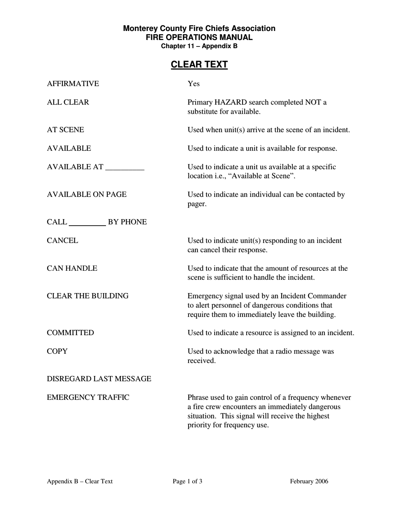## **Monterey County Fire Chiefs Association FIRE OPERATIONS MANUAL Chapter 11 – Appendix B**

## **CLEAR TEXT**

| <b>AFFIRMATIVE</b>        | Yes                                                                                                                                                                                      |
|---------------------------|------------------------------------------------------------------------------------------------------------------------------------------------------------------------------------------|
| <b>ALL CLEAR</b>          | Primary HAZARD search completed NOT a<br>substitute for available.                                                                                                                       |
| <b>AT SCENE</b>           | Used when unit(s) arrive at the scene of an incident.                                                                                                                                    |
| <b>AVAILABLE</b>          | Used to indicate a unit is available for response.                                                                                                                                       |
| AVAILABLE AT              | Used to indicate a unit us available at a specific<br>location i.e., "Available at Scene".                                                                                               |
| <b>AVAILABLE ON PAGE</b>  | Used to indicate an individual can be contacted by<br>pager.                                                                                                                             |
| CALL BY PHONE             |                                                                                                                                                                                          |
| <b>CANCEL</b>             | Used to indicate unit(s) responding to an incident<br>can cancel their response.                                                                                                         |
| <b>CAN HANDLE</b>         | Used to indicate that the amount of resources at the<br>scene is sufficient to handle the incident.                                                                                      |
| <b>CLEAR THE BUILDING</b> | Emergency signal used by an Incident Commander<br>to alert personnel of dangerous conditions that<br>require them to immediately leave the building.                                     |
| <b>COMMITTED</b>          | Used to indicate a resource is assigned to an incident.                                                                                                                                  |
| <b>COPY</b>               | Used to acknowledge that a radio message was<br>received.                                                                                                                                |
| DISREGARD LAST MESSAGE    |                                                                                                                                                                                          |
| <b>EMERGENCY TRAFFIC</b>  | Phrase used to gain control of a frequency whenever<br>a fire crew encounters an immediately dangerous<br>situation. This signal will receive the highest<br>priority for frequency use. |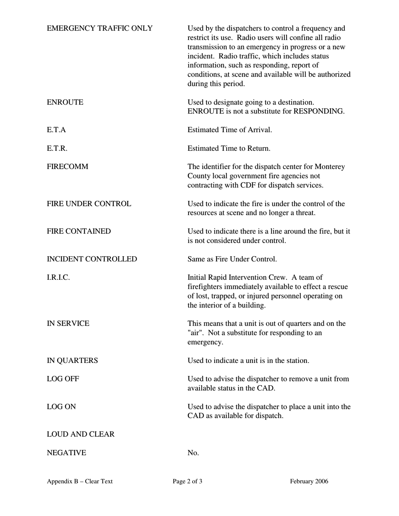| <b>EMERGENCY TRAFFIC ONLY</b> | Used by the dispatchers to control a frequency and<br>restrict its use. Radio users will confine all radio<br>transmission to an emergency in progress or a new<br>incident. Radio traffic, which includes status<br>information, such as responding, report of<br>conditions, at scene and available will be authorized<br>during this period. |
|-------------------------------|-------------------------------------------------------------------------------------------------------------------------------------------------------------------------------------------------------------------------------------------------------------------------------------------------------------------------------------------------|
| <b>ENROUTE</b>                | Used to designate going to a destination.<br>ENROUTE is not a substitute for RESPONDING.                                                                                                                                                                                                                                                        |
| E.T.A                         | <b>Estimated Time of Arrival.</b>                                                                                                                                                                                                                                                                                                               |
| E.T.R.                        | <b>Estimated Time to Return.</b>                                                                                                                                                                                                                                                                                                                |
| <b>FIRECOMM</b>               | The identifier for the dispatch center for Monterey<br>County local government fire agencies not<br>contracting with CDF for dispatch services.                                                                                                                                                                                                 |
| FIRE UNDER CONTROL            | Used to indicate the fire is under the control of the<br>resources at scene and no longer a threat.                                                                                                                                                                                                                                             |
| <b>FIRE CONTAINED</b>         | Used to indicate there is a line around the fire, but it<br>is not considered under control.                                                                                                                                                                                                                                                    |
| <b>INCIDENT CONTROLLED</b>    | Same as Fire Under Control.                                                                                                                                                                                                                                                                                                                     |
| I.R.I.C.                      | Initial Rapid Intervention Crew. A team of<br>firefighters immediately available to effect a rescue<br>of lost, trapped, or injured personnel operating on<br>the interior of a building.                                                                                                                                                       |
| <b>IN SERVICE</b>             | This means that a unit is out of quarters and on the<br>"air". Not a substitute for responding to an<br>emergency.                                                                                                                                                                                                                              |
| <b>IN QUARTERS</b>            | Used to indicate a unit is in the station.                                                                                                                                                                                                                                                                                                      |
| <b>LOG OFF</b>                | Used to advise the dispatcher to remove a unit from<br>available status in the CAD.                                                                                                                                                                                                                                                             |
| <b>LOG ON</b>                 | Used to advise the dispatcher to place a unit into the<br>CAD as available for dispatch.                                                                                                                                                                                                                                                        |
| <b>LOUD AND CLEAR</b>         |                                                                                                                                                                                                                                                                                                                                                 |
| <b>NEGATIVE</b>               | No.                                                                                                                                                                                                                                                                                                                                             |
| Appendix B - Clear Text       | Page 2 of 3<br>February 2006                                                                                                                                                                                                                                                                                                                    |